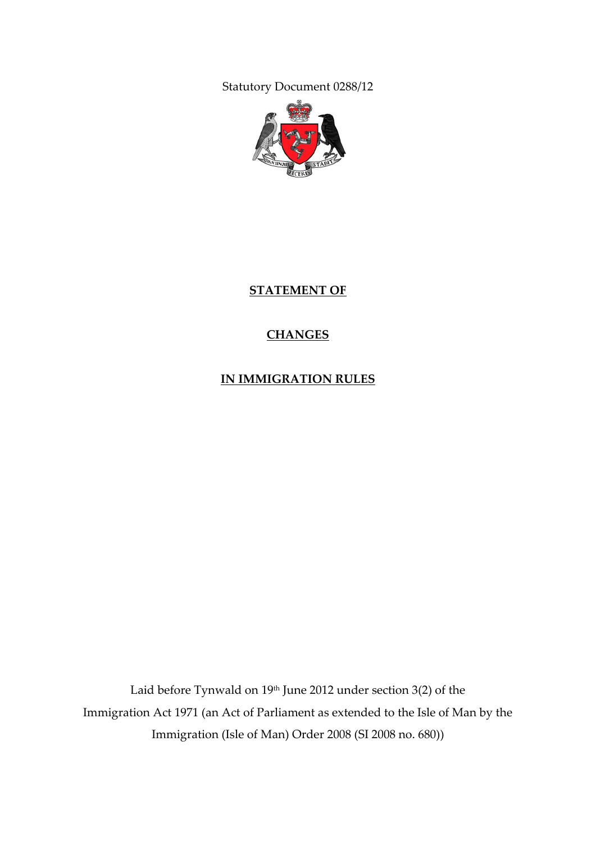Statutory Document 0288/12



**STATEMENT OF**

# **CHANGES**

**IN IMMIGRATION RULES**

Laid before Tynwald on 19<sup>th</sup> June 2012 under section 3(2) of the Immigration Act 1971 (an Act of Parliament as extended to the Isle of Man by the Immigration (Isle of Man) Order 2008 (SI 2008 no. 680))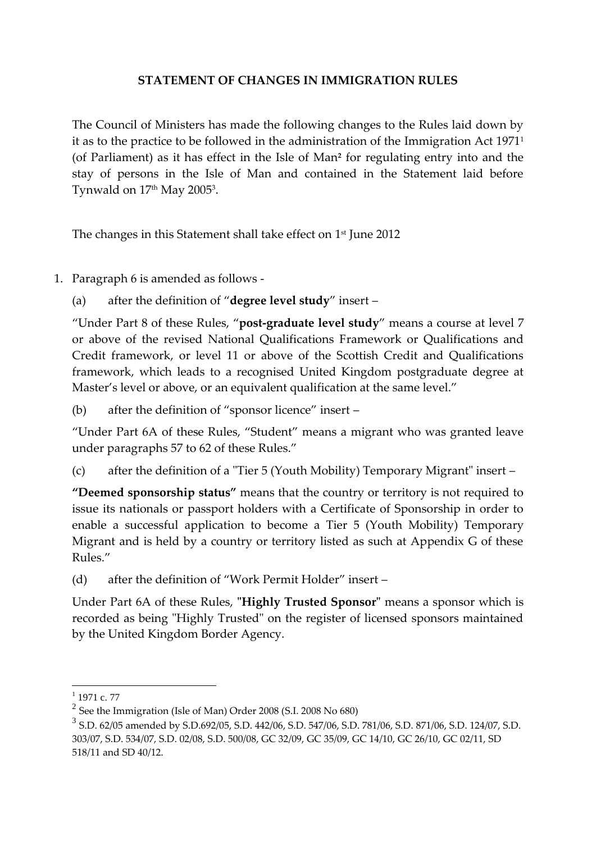### **STATEMENT OF CHANGES IN IMMIGRATION RULES**

The Council of Ministers has made the following changes to the Rules laid down by it as to the practice to be followed in the administration of the Immigration Act 1971<sup>1</sup> (of Parliament) as it has effect in the Isle of Man**<sup>2</sup>** for regulating entry into and the stay of persons in the Isle of Man and contained in the Statement laid before Tynwald on 17th May 2005<sup>3</sup>.

The changes in this Statement shall take effect on 1 st June 2012

1. Paragraph 6 is amended as follows -

(a) after the definition of "**degree level study**" insert –

"Under Part 8 of these Rules, "**post-graduate level study**" means a course at level 7 or above of the revised National Qualifications Framework or Qualifications and Credit framework, or level 11 or above of the Scottish Credit and Qualifications framework, which leads to a recognised United Kingdom postgraduate degree at Master's level or above, or an equivalent qualification at the same level."

(b) after the definition of "sponsor licence" insert –

"Under Part 6A of these Rules, "Student" means a migrant who was granted leave under paragraphs 57 to 62 of these Rules."

(c) after the definition of a "Tier 5 (Youth Mobility) Temporary Migrant" insert –

**"Deemed sponsorship status"** means that the country or territory is not required to issue its nationals or passport holders with a Certificate of Sponsorship in order to enable a successful application to become a Tier 5 (Youth Mobility) Temporary Migrant and is held by a country or territory listed as such at Appendix G of these Rules."

(d) after the definition of "Work Permit Holder" insert –

Under Part 6A of these Rules, **"Highly Trusted Sponsor"** means a sponsor which is recorded as being "Highly Trusted" on the register of licensed sponsors maintained by the United Kingdom Border Agency.

 $\frac{1}{1}$  1971 c. 77

 $2^{2}$  See the Immigration (Isle of Man) Order 2008 (S.I. 2008 No 680)

<sup>3</sup> S.D. 62/05 amended by S.D.692/05, S.D. 442/06, S.D. 547/06, S.D. 781/06, S.D. 871/06, S.D. 124/07, S.D. 303/07, S.D. 534/07, S.D. 02/08, S.D. 500/08, GC 32/09, GC 35/09, GC 14/10, GC 26/10, GC 02/11, SD 518/11 and SD 40/12.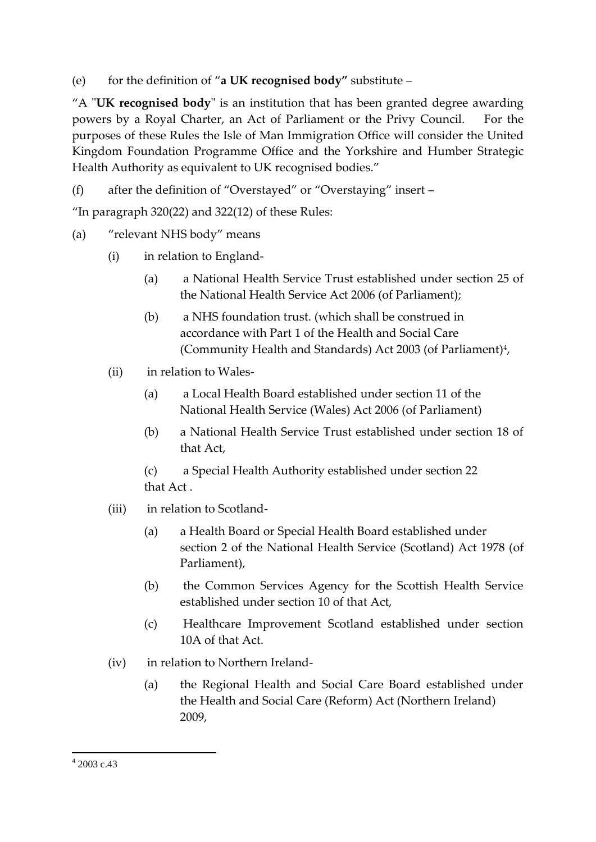(e) for the definition of "**a UK recognised body"** substitute –

"A "**UK recognised body**" is an institution that has been granted degree awarding powers by a Royal Charter, an Act of Parliament or the Privy Council. For the purposes of these Rules the Isle of Man Immigration Office will consider the United Kingdom Foundation Programme Office and the Yorkshire and Humber Strategic Health Authority as equivalent to UK recognised bodies."

(f) after the definition of "Overstayed" or "Overstaying" insert –

"In paragraph  $320(22)$  and  $322(12)$  of these Rules:

# (a) "relevant NHS body" means

- (i) in relation to England-
	- (a) a National Health Service Trust established under section 25 of the National Health Service Act 2006 (of Parliament);
	- (b) a NHS foundation trust. (which shall be construed in accordance with Part 1 of the Health and Social Care (Community Health and Standards) Act 2003 (of Parliament)<sup>4</sup>,
- (ii) in relation to Wales-
	- (a) a Local Health Board established under section 11 of the National Health Service (Wales) Act 2006 (of Parliament)
	- (b) a National Health Service Trust established under section 18 of that Act,

(c) a Special Health Authority established under section 22 that Act .

- (iii) in relation to Scotland-
	- (a) a Health Board or Special Health Board established under section 2 of the National Health Service (Scotland) Act 1978 (of Parliament),
	- (b) the Common Services Agency for the Scottish Health Service established under section 10 of that Act,
	- (c) Healthcare Improvement Scotland established under section 10A of that Act.
- (iv) in relation to Northern Ireland-
	- (a) the Regional Health and Social Care Board established under the Health and Social Care (Reform) Act (Northern Ireland) 2009,

1

<sup>4</sup> 2003 c.43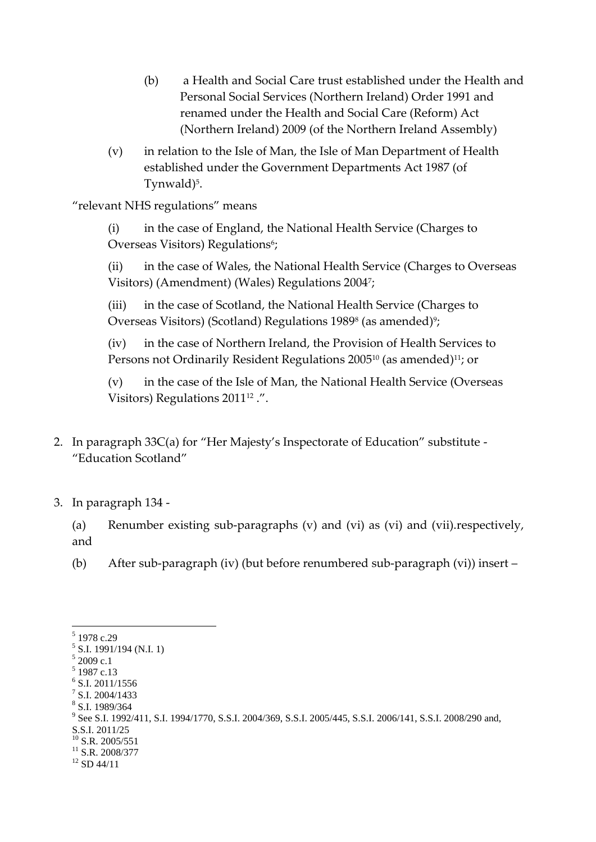- (b) a Health and Social Care trust established under the Health and Personal Social Services (Northern Ireland) Order 1991 and renamed under the Health and Social Care (Reform) Act (Northern Ireland) 2009 (of the Northern Ireland Assembly)
- (v) in relation to the Isle of Man, the Isle of Man Department of Health established under the Government Departments Act 1987 (of Tynwald)<sup>5</sup>.

"relevant NHS regulations" means

(i) in the case of England, the National Health Service (Charges to Overseas Visitors) Regulations<sup>6</sup>;

(ii) in the case of Wales, the National Health Service (Charges to Overseas Visitors) (Amendment) (Wales) Regulations 2004<sup>7</sup> ;

(iii) in the case of Scotland, the National Health Service (Charges to Overseas Visitors) (Scotland) Regulations 1989<sup>s</sup> (as amended)<sup>9</sup>;

(iv) in the case of Northern Ireland, the Provision of Health Services to Persons not Ordinarily Resident Regulations 2005<sup>10</sup> (as amended)<sup>11</sup>; or

(v) in the case of the Isle of Man, the National Health Service (Overseas Visitors) Regulations 2011<sup>12</sup>.".

- 2. In paragraph 33C(a) for "Her Majesty's Inspectorate of Education" substitute "Education Scotland"
- 3. In paragraph 134 -

(a) Renumber existing sub-paragraphs (v) and (vi) as (vi) and (vii).respectively, and

(b) After sub-paragraph (iv) (but before renumbered sub-paragraph (vi)) insert –

<u>.</u>

- 8 S.I. 1989/364
- <sup>9</sup> See S.I. 1992/411, S.I. 1994/1770, S.S.I. 2004/369, S.S.I. 2005/445, S.S.I. 2006/141, S.S.I. 2008/290 and, S.S.I. 2011/25  $10$  S.R. 2005/551
- $11$  S.R. 2008/377
- $12$  SD 44/11

<sup>5</sup> 1978 c.29

 $5$  S.I. 1991/194 (N.I. 1)

 $52009$  c.1 5 1987 c.13

<sup>6</sup> S.I. 2011/1556

<sup>7</sup> S.I. 2004/1433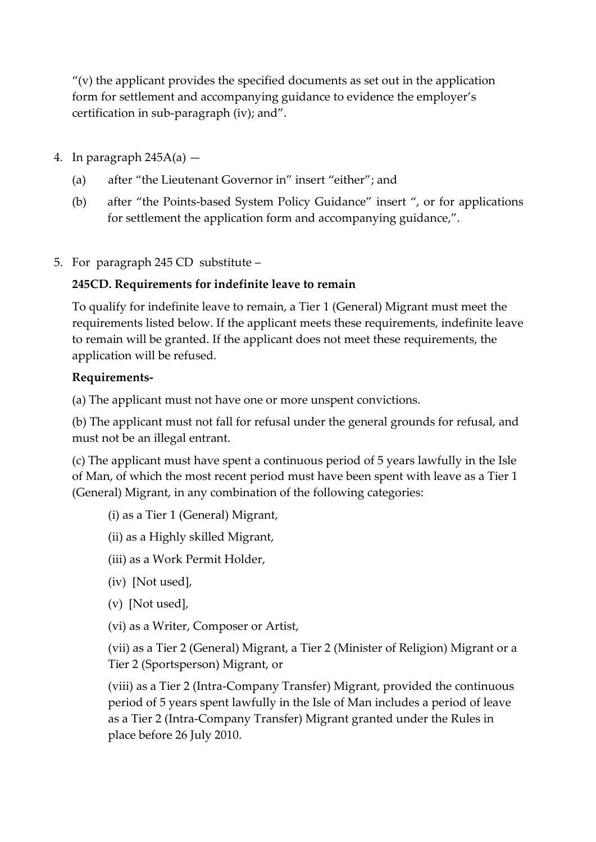$''(v)$  the applicant provides the specified documents as set out in the application form for settlement and accompanying guidance to evidence the employer's certification in sub-paragraph (iv); and".

- 4. In paragraph  $245A(a)$ 
	- (a) after "the Lieutenant Governor in" insert "either"; and
	- (b) after "the Points-based System Policy Guidance" insert ", or for applications for settlement the application form and accompanying guidance,".
- 5. For paragraph 245 CD substitute –

## **245CD. Requirements for indefinite leave to remain**

To qualify for indefinite leave to remain, a Tier 1 (General) Migrant must meet the requirements listed below. If the applicant meets these requirements, indefinite leave to remain will be granted. If the applicant does not meet these requirements, the application will be refused.

### **Requirements-**

(a) The applicant must not have one or more unspent convictions.

(b) The applicant must not fall for refusal under the general grounds for refusal, and must not be an illegal entrant.

(c) The applicant must have spent a continuous period of 5 years lawfully in the Isle of Man, of which the most recent period must have been spent with leave as a Tier 1 (General) Migrant, in any combination of the following categories:

- (i) as a Tier 1 (General) Migrant,
- (ii) as a Highly skilled Migrant,
- (iii) as a Work Permit Holder,
- (iv) [Not used],
- (v) [Not used],
- (vi) as a Writer, Composer or Artist,

(vii) as a Tier 2 (General) Migrant, a Tier 2 (Minister of Religion) Migrant or a Tier 2 (Sportsperson) Migrant, or

(viii) as a Tier 2 (Intra-Company Transfer) Migrant, provided the continuous period of 5 years spent lawfully in the Isle of Man includes a period of leave as a Tier 2 (Intra-Company Transfer) Migrant granted under the Rules in place before 26 July 2010.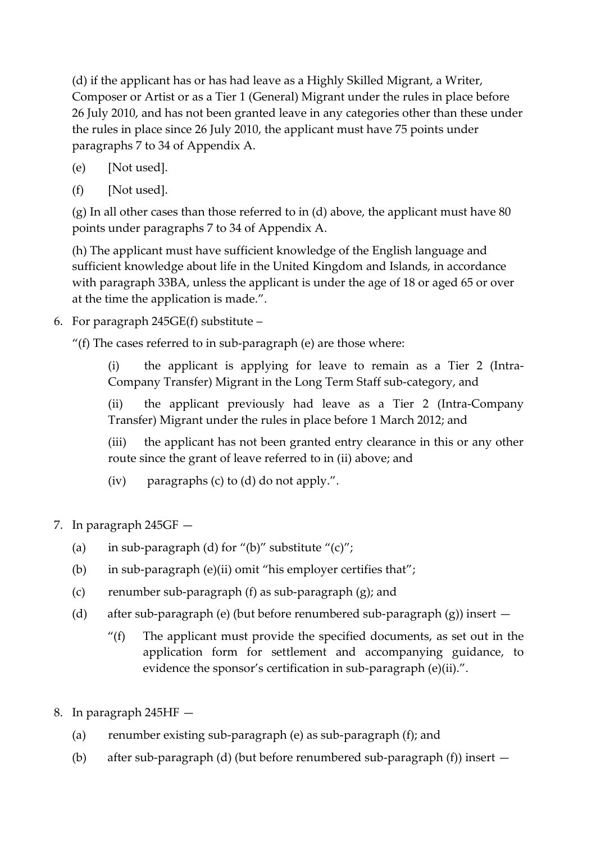(d) if the applicant has or has had leave as a Highly Skilled Migrant, a Writer, Composer or Artist or as a Tier 1 (General) Migrant under the rules in place before 26 July 2010, and has not been granted leave in any categories other than these under the rules in place since 26 July 2010, the applicant must have 75 points under paragraphs 7 to 34 of Appendix A.

- (e) [Not used].
- (f) [Not used].

(g) In all other cases than those referred to in (d) above, the applicant must have 80 points under paragraphs 7 to 34 of Appendix A.

(h) The applicant must have sufficient knowledge of the English language and sufficient knowledge about life in the United Kingdom and Islands, in accordance with paragraph 33BA, unless the applicant is under the age of 18 or aged 65 or over at the time the application is made.".

6. For paragraph 245GE(f) substitute –

"(f) The cases referred to in sub-paragraph (e) are those where:

(i) the applicant is applying for leave to remain as a Tier 2 (Intra-Company Transfer) Migrant in the Long Term Staff sub-category, and

(ii) the applicant previously had leave as a Tier 2 (Intra-Company Transfer) Migrant under the rules in place before 1 March 2012; and

(iii) the applicant has not been granted entry clearance in this or any other route since the grant of leave referred to in (ii) above; and

(iv) paragraphs (c) to (d) do not apply.".

- 7. In paragraph 245GF
	- (a) in sub-paragraph (d) for "(b)" substitute " $(c)$ ";
	- (b) in sub-paragraph (e)(ii) omit "his employer certifies that";
	- (c) renumber sub-paragraph (f) as sub-paragraph (g); and
	- (d) after sub-paragraph (e) (but before renumbered sub-paragraph (g)) insert
		- $''(f)$  The applicant must provide the specified documents, as set out in the application form for settlement and accompanying guidance, to evidence the sponsor's certification in sub-paragraph (e)(ii).".
- 8. In paragraph 245HF
	- (a) renumber existing sub-paragraph (e) as sub-paragraph (f); and
	- (b) after sub-paragraph (d) (but before renumbered sub-paragraph (f)) insert —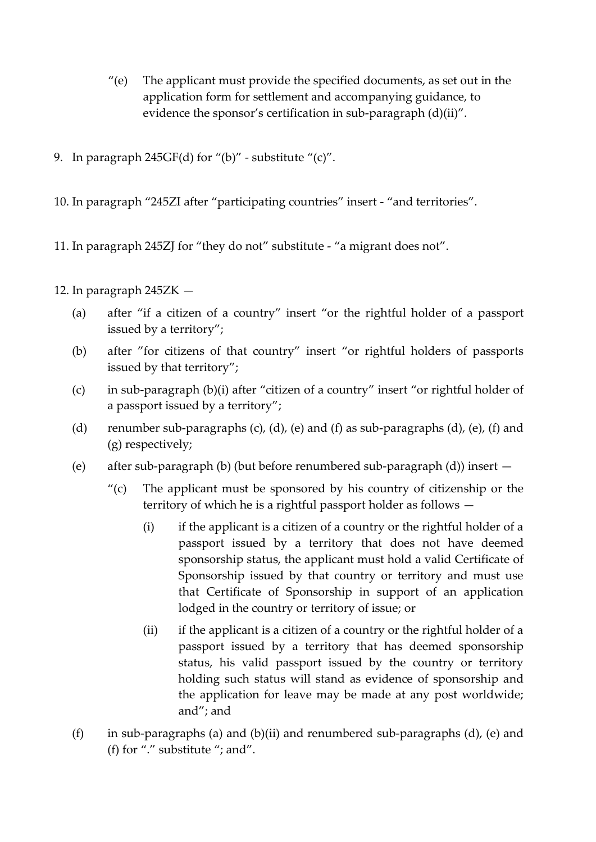- $"$ (e) The applicant must provide the specified documents, as set out in the application form for settlement and accompanying guidance, to evidence the sponsor's certification in sub-paragraph (d)(ii)".
- 9. In paragraph  $245GF(d)$  for "(b)" substitute "(c)".
- 10. In paragraph "245ZI after "participating countries" insert "and territories".
- 11. In paragraph 245ZJ for "they do not" substitute "a migrant does not".
- 12. In paragraph 245ZK
	- (a) after "if a citizen of a country" insert "or the rightful holder of a passport issued by a territory";
	- (b) after "for citizens of that country" insert "or rightful holders of passports issued by that territory";
	- (c) in sub-paragraph (b)(i) after "citizen of a country" insert "or rightful holder of a passport issued by a territory";
	- (d) renumber sub-paragraphs (c), (d), (e) and (f) as sub-paragraphs (d), (e), (f) and (g) respectively;
	- (e) after sub-paragraph (b) (but before renumbered sub-paragraph (d)) insert
		- $\degree$  (c) The applicant must be sponsored by his country of citizenship or the territory of which he is a rightful passport holder as follows —
			- $(i)$  if the applicant is a citizen of a country or the rightful holder of a passport issued by a territory that does not have deemed sponsorship status, the applicant must hold a valid Certificate of Sponsorship issued by that country or territory and must use that Certificate of Sponsorship in support of an application lodged in the country or territory of issue; or
			- (ii) if the applicant is a citizen of a country or the rightful holder of a passport issued by a territory that has deemed sponsorship status, his valid passport issued by the country or territory holding such status will stand as evidence of sponsorship and the application for leave may be made at any post worldwide; and"; and
	- (f) in sub-paragraphs (a) and (b)(ii) and renumbered sub-paragraphs (d), (e) and (f) for "." substitute "; and".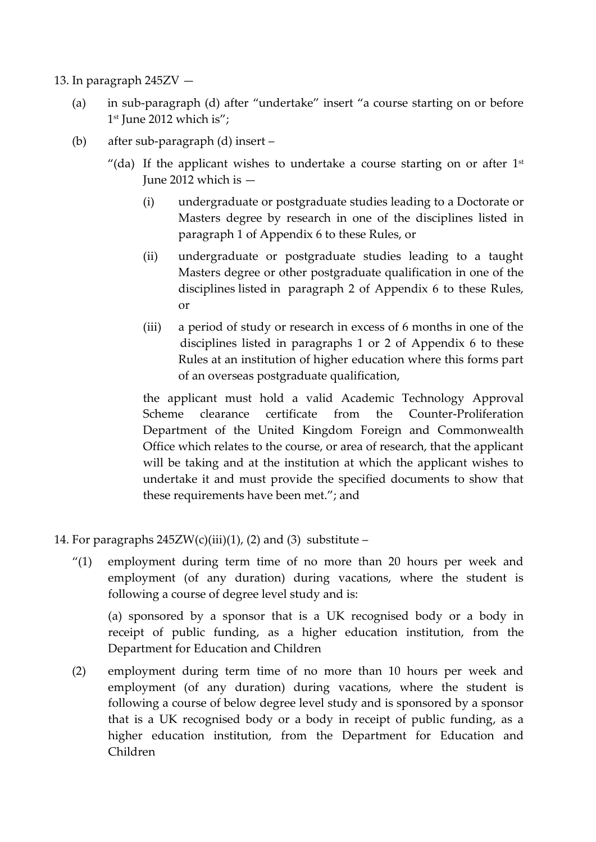- 13. In paragraph 245ZV
	- (a) in sub-paragraph (d) after "undertake" insert "a course starting on or before 1 st June 2012 which is";
	- (b) after sub-paragraph (d) insert
		- "(da) If the applicant wishes to undertake a course starting on or after  $1<sup>st</sup>$ June 2012 which is —
			- (i) undergraduate or postgraduate studies leading to a Doctorate or Masters degree by research in one of the disciplines listed in paragraph 1 of Appendix 6 to these Rules, or
			- (ii) undergraduate or postgraduate studies leading to a taught Masters degree or other postgraduate qualification in one of the disciplines listed in paragraph 2 of Appendix 6 to these Rules, or
			- (iii) a period of study or research in excess of 6 months in one of the disciplines listed in paragraphs 1 or 2 of Appendix 6 to these Rules at an institution of higher education where this forms part of an overseas postgraduate qualification,

the applicant must hold a valid Academic Technology Approval Scheme clearance certificate from the Counter-Proliferation Department of the United Kingdom Foreign and Commonwealth Office which relates to the course, or area of research, that the applicant will be taking and at the institution at which the applicant wishes to undertake it and must provide the specified documents to show that these requirements have been met."; and

- 14. For paragraphs  $245ZW(c)(iii)(1)$ , (2) and (3) substitute
	- "(1) employment during term time of no more than 20 hours per week and employment (of any duration) during vacations, where the student is following a course of degree level study and is:

(a) sponsored by a sponsor that is a UK recognised body or a body in receipt of public funding, as a higher education institution, from the Department for Education and Children

(2) employment during term time of no more than 10 hours per week and employment (of any duration) during vacations, where the student is following a course of below degree level study and is sponsored by a sponsor that is a UK recognised body or a body in receipt of public funding, as a higher education institution, from the Department for Education and Children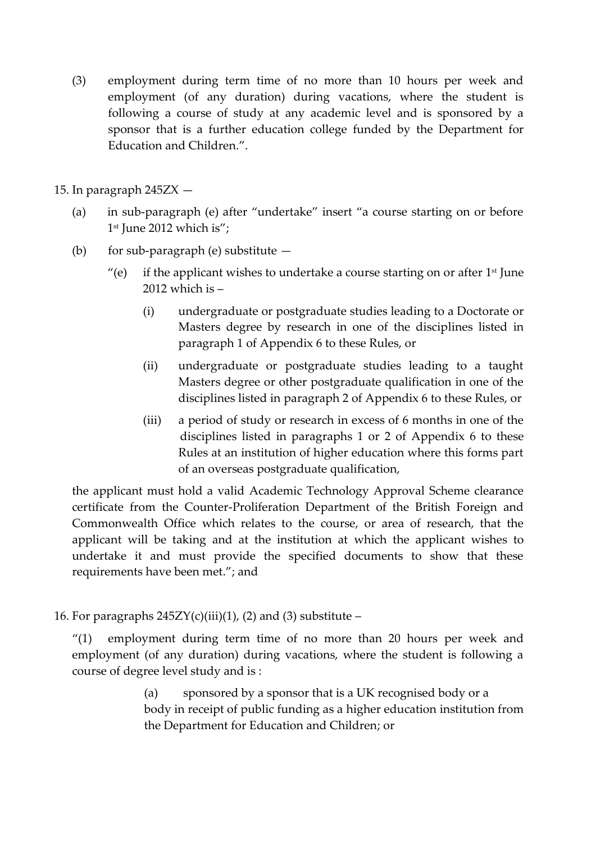(3) employment during term time of no more than 10 hours per week and employment (of any duration) during vacations, where the student is following a course of study at any academic level and is sponsored by a sponsor that is a further education college funded by the Department for Education and Children.".

15. In paragraph 245ZX —

- (a) in sub-paragraph (e) after "undertake" insert "a course starting on or before 1 st June 2012 which is";
- (b) for sub-paragraph (e) substitute  $-$ 
	- $"$ (e) if the applicant wishes to undertake a course starting on or after 1<sup>st</sup> June 2012 which is –
		- (i) undergraduate or postgraduate studies leading to a Doctorate or Masters degree by research in one of the disciplines listed in paragraph 1 of Appendix 6 to these Rules, or
		- (ii) undergraduate or postgraduate studies leading to a taught Masters degree or other postgraduate qualification in one of the disciplines listed in paragraph 2 of Appendix 6 to these Rules, or
		- (iii) a period of study or research in excess of 6 months in one of the disciplines listed in paragraphs 1 or 2 of Appendix 6 to these Rules at an institution of higher education where this forms part of an overseas postgraduate qualification,

the applicant must hold a valid Academic Technology Approval Scheme clearance certificate from the Counter-Proliferation Department of the British Foreign and Commonwealth Office which relates to the course, or area of research, that the applicant will be taking and at the institution at which the applicant wishes to undertake it and must provide the specified documents to show that these requirements have been met."; and

16. For paragraphs  $245ZY(c)(iii)(1)$ , (2) and (3) substitute –

"(1) employment during term time of no more than 20 hours per week and employment (of any duration) during vacations, where the student is following a course of degree level study and is :

> (a) sponsored by a sponsor that is a UK recognised body or a body in receipt of public funding as a higher education institution from the Department for Education and Children; or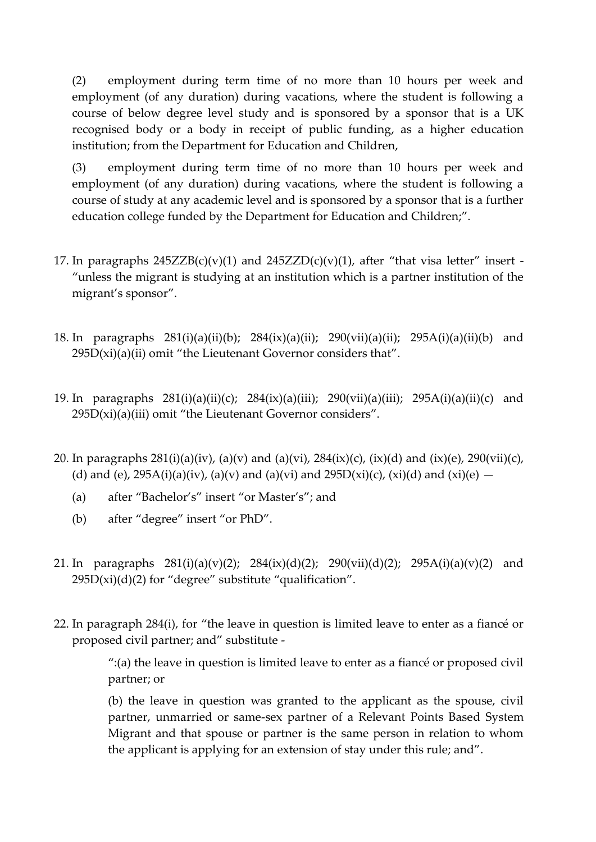(2) employment during term time of no more than 10 hours per week and employment (of any duration) during vacations, where the student is following a course of below degree level study and is sponsored by a sponsor that is a UK recognised body or a body in receipt of public funding, as a higher education institution; from the Department for Education and Children,

(3) employment during term time of no more than 10 hours per week and employment (of any duration) during vacations, where the student is following a course of study at any academic level and is sponsored by a sponsor that is a further education college funded by the Department for Education and Children;".

- 17. In paragraphs  $245ZZB(c)(v)(1)$  and  $245ZZD(c)(v)(1)$ , after "that visa letter" insert -"unless the migrant is studying at an institution which is a partner institution of the migrant's sponsor".
- 18. In paragraphs 281(i)(a)(ii)(b); 284(ix)(a)(ii); 290(vii)(a)(ii); 295A(i)(a)(ii)(b) and  $295D(xi)(a)(ii)$  omit "the Lieutenant Governor considers that".
- 19. In paragraphs 281(i)(a)(ii)(c); 284(ix)(a)(iii); 290(vii)(a)(iii); 295A(i)(a)(ii)(c) and  $295D(xi)(a)(iii)$  omit "the Lieutenant Governor considers".
- 20. In paragraphs  $281(i)(a)(iv)$ ,  $(a)(v)$  and  $(a)(vi)$ ,  $284(ix)(c)$ ,  $(ix)(d)$  and  $(ix)(e)$ ,  $290(vii)(c)$ , (d) and (e),  $295A(i)(a)(iv)$ , (a)(v) and (a)(vi) and  $295D(xi)(c)$ , (xi)(d) and (xi)(e)  $-$ 
	- (a) after "Bachelor's" insert "or Master's"; and
	- (b) after "degree" insert "or PhD".
- 21. In paragraphs  $281(i)(a)(v)(2)$ ;  $284(ix)(d)(2)$ ;  $290(vii)(d)(2)$ ;  $295A(i)(a)(v)(2)$  and  $295D(xi)(d)(2)$  for "degree" substitute "qualification".
- 22. In paragraph 284(i), for "the leave in question is limited leave to enter as a fiancé or proposed civil partner; and" substitute -

":(a) the leave in question is limited leave to enter as a fiance or proposed civil partner; or

(b) the leave in question was granted to the applicant as the spouse, civil partner, unmarried or same-sex partner of a Relevant Points Based System Migrant and that spouse or partner is the same person in relation to whom the applicant is applying for an extension of stay under this rule; and".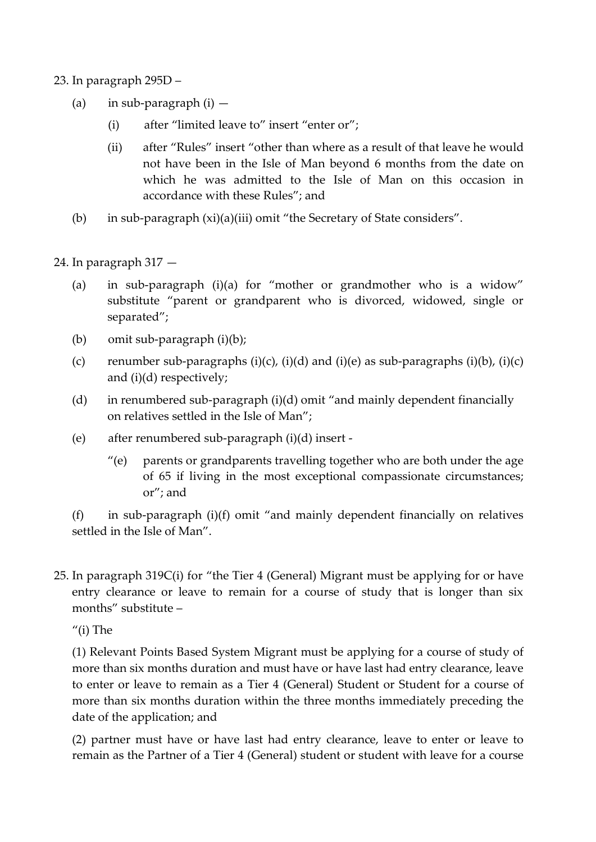- 23. In paragraph 295D
	- (a) in sub-paragraph  $(i)$ 
		- (i) after "limited leave to" insert "enter or";
		- (ii) after "Rules" insert "other than where as a result of that leave he would not have been in the Isle of Man beyond 6 months from the date on which he was admitted to the Isle of Man on this occasion in accordance with these Rules"; and
	- (b) in sub-paragraph (xi)(a)(iii) omit "the Secretary of State considers".
- 24. In paragraph 317
	- (a) in sub-paragraph (i)(a) for "mother or grandmother who is a widow" substitute "parent or grandparent who is divorced, widowed, single or separated";
	- (b) omit sub-paragraph (i)(b);
	- (c) renumber sub-paragraphs (i)(c), (i)(d) and (i)(e) as sub-paragraphs (i)(b), (i)(c) and (i)(d) respectively;
	- (d) in renumbered sub-paragraph (i)(d) omit "and mainly dependent financially on relatives settled in the Isle of Man";
	- (e) after renumbered sub-paragraph (i)(d) insert
		- $''(e)$  parents or grandparents travelling together who are both under the age of 65 if living in the most exceptional compassionate circumstances; or"; and

(f) in sub-paragraph (i)(f) omit "and mainly dependent financially on relatives settled in the Isle of Man".

25. In paragraph 319C(i) for "the Tier 4 (General) Migrant must be applying for or have entry clearance or leave to remain for a course of study that is longer than six months" substitute –

 $''(i)$  The

(1) Relevant Points Based System Migrant must be applying for a course of study of more than six months duration and must have or have last had entry clearance, leave to enter or leave to remain as a Tier 4 (General) Student or Student for a course of more than six months duration within the three months immediately preceding the date of the application; and

(2) partner must have or have last had entry clearance, leave to enter or leave to remain as the Partner of a Tier 4 (General) student or student with leave for a course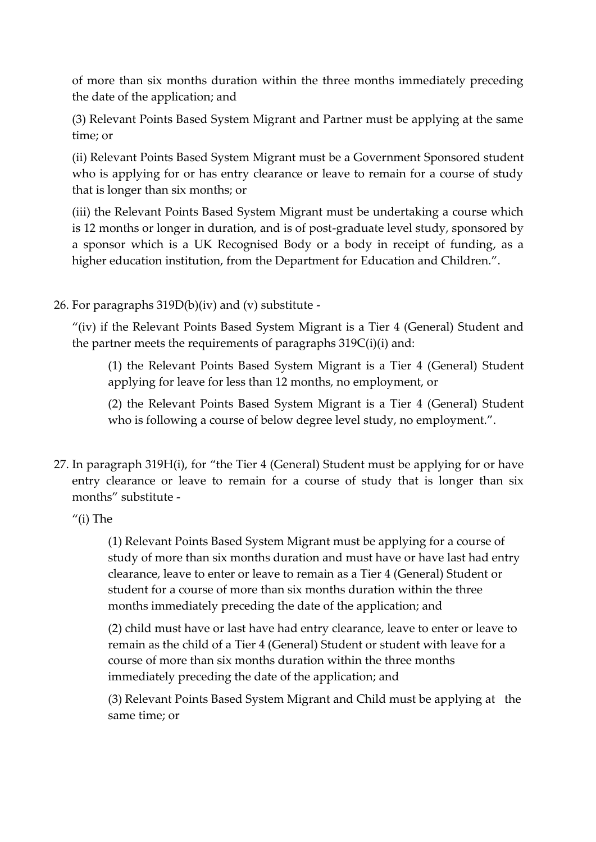of more than six months duration within the three months immediately preceding the date of the application; and

(3) Relevant Points Based System Migrant and Partner must be applying at the same time; or

(ii) Relevant Points Based System Migrant must be a Government Sponsored student who is applying for or has entry clearance or leave to remain for a course of study that is longer than six months; or

(iii) the Relevant Points Based System Migrant must be undertaking a course which is 12 months or longer in duration, and is of post-graduate level study, sponsored by a sponsor which is a UK Recognised Body or a body in receipt of funding, as a higher education institution, from the Department for Education and Children.".

26. For paragraphs 319D(b)(iv) and (v) substitute -

"(iv) if the Relevant Points Based System Migrant is a Tier 4 (General) Student and the partner meets the requirements of paragraphs  $319C(i)(i)$  and:

(1) the Relevant Points Based System Migrant is a Tier 4 (General) Student applying for leave for less than 12 months, no employment, or

(2) the Relevant Points Based System Migrant is a Tier 4 (General) Student who is following a course of below degree level study, no employment.".

27. In paragraph 319H(i), for "the Tier 4 (General) Student must be applying for or have entry clearance or leave to remain for a course of study that is longer than six months" substitute -

"(i) The

(1) Relevant Points Based System Migrant must be applying for a course of study of more than six months duration and must have or have last had entry clearance, leave to enter or leave to remain as a Tier 4 (General) Student or student for a course of more than six months duration within the three months immediately preceding the date of the application; and

(2) child must have or last have had entry clearance, leave to enter or leave to remain as the child of a Tier 4 (General) Student or student with leave for a course of more than six months duration within the three months immediately preceding the date of the application; and

(3) Relevant Points Based System Migrant and Child must be applying at the same time; or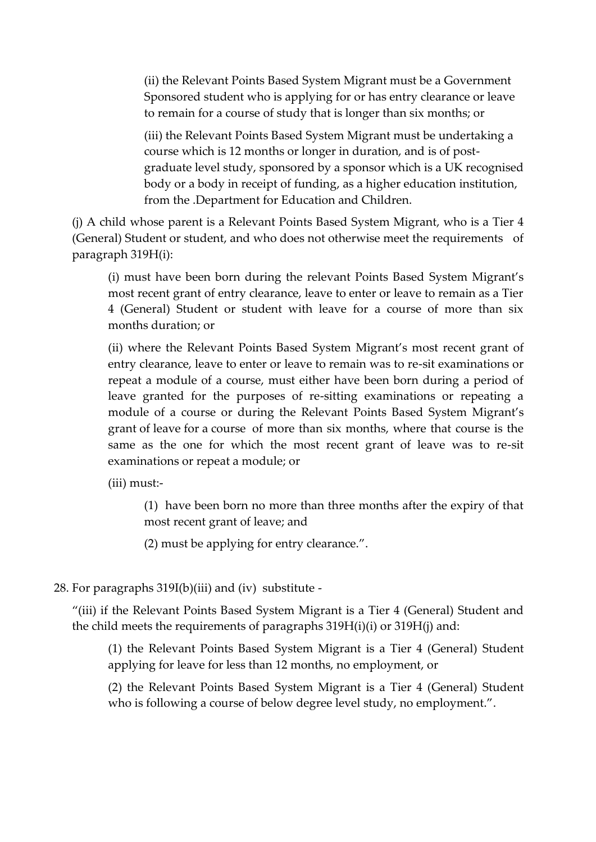(ii) the Relevant Points Based System Migrant must be a Government Sponsored student who is applying for or has entry clearance or leave to remain for a course of study that is longer than six months; or

(iii) the Relevant Points Based System Migrant must be undertaking a course which is 12 months or longer in duration, and is of postgraduate level study, sponsored by a sponsor which is a UK recognised body or a body in receipt of funding, as a higher education institution, from the .Department for Education and Children.

(j) A child whose parent is a Relevant Points Based System Migrant, who is a Tier 4 (General) Student or student, and who does not otherwise meet the requirements of paragraph 319H(i):

(i) must have been born during the relevant Points Based System Migrant's most recent grant of entry clearance, leave to enter or leave to remain as a Tier 4 (General) Student or student with leave for a course of more than six months duration; or

(ii) where the Relevant Points Based System Migrant's most recent grant of entry clearance, leave to enter or leave to remain was to re-sit examinations or repeat a module of a course, must either have been born during a period of leave granted for the purposes of re-sitting examinations or repeating a module of a course or during the Relevant Points Based System Migrant's grant of leave for a course of more than six months, where that course is the same as the one for which the most recent grant of leave was to re-sit examinations or repeat a module; or

(iii) must:-

(1) have been born no more than three months after the expiry of that most recent grant of leave; and

(2) must be applying for entry clearance.".

## 28. For paragraphs 319I(b)(iii) and (iv) substitute -

"(iii) if the Relevant Points Based System Migrant is a Tier 4 (General) Student and the child meets the requirements of paragraphs  $319H(i)(i)$  or  $319H(i)$  and:

(1) the Relevant Points Based System Migrant is a Tier 4 (General) Student applying for leave for less than 12 months, no employment, or

(2) the Relevant Points Based System Migrant is a Tier 4 (General) Student who is following a course of below degree level study, no employment.".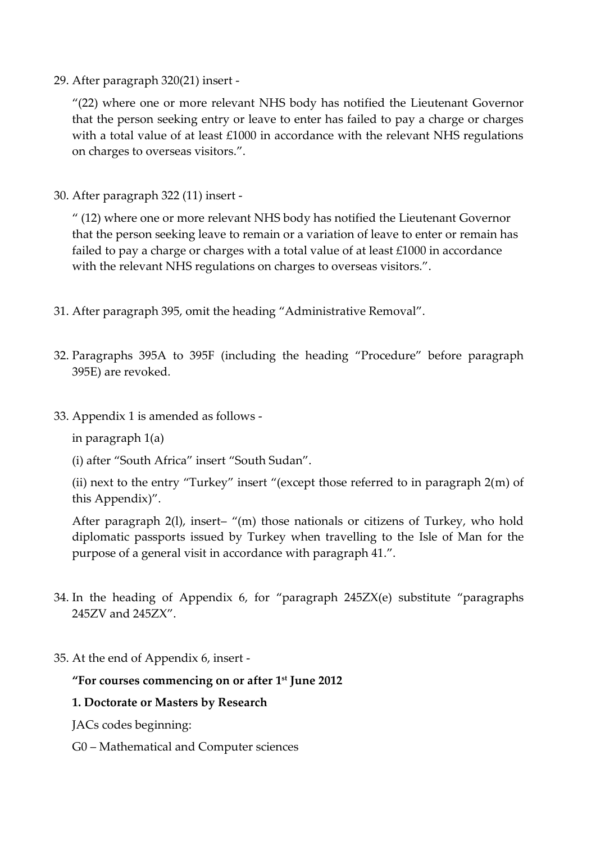29. After paragraph 320(21) insert -

"(22) where one or more relevant NHS body has notified the Lieutenant Governor that the person seeking entry or leave to enter has failed to pay a charge or charges with a total value of at least £1000 in accordance with the relevant NHS regulations on charges to overseas visitors.".

30. After paragraph 322 (11) insert -

" (12) where one or more relevant NHS body has notified the Lieutenant Governor that the person seeking leave to remain or a variation of leave to enter or remain has failed to pay a charge or charges with a total value of at least £1000 in accordance with the relevant NHS regulations on charges to overseas visitors.".

- 31. After paragraph 395, omit the heading "Administrative Removal".
- 32. Paragraphs 395A to 395F (including the heading "Procedure" before paragraph 395E) are revoked.
- 33. Appendix 1 is amended as follows -

in paragraph 1(a)

(i) after "South Africa" insert "South Sudan".

(ii) next to the entry "Turkey" insert "(except those referred to in paragraph 2(m) of this Appendix)".

After paragraph 2(l), insert– "(m) those nationals or citizens of Turkey, who hold diplomatic passports issued by Turkey when travelling to the Isle of Man for the purpose of a general visit in accordance with paragraph 41.".

- 34. In the heading of Appendix 6, for "paragraph 245ZX(e) substitute "paragraphs 245ZV and 245ZX".
- 35. At the end of Appendix 6, insert -

## **"For courses commencing on or after 1 st June 2012**

### **1. Doctorate or Masters by Research**

JACs codes beginning:

G0 – Mathematical and Computer sciences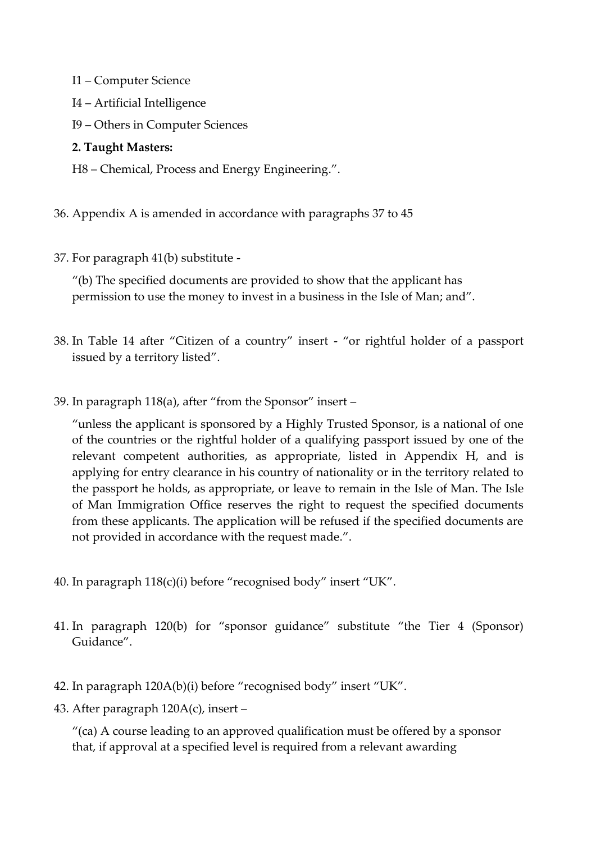- I1 Computer Science
- I4 Artificial Intelligence
- I9 Others in Computer Sciences

### **2. Taught Masters:**

- H8 Chemical, Process and Energy Engineering.".
- 36. Appendix A is amended in accordance with paragraphs 37 to 45
- 37. For paragraph 41(b) substitute -

"(b) The specified documents are provided to show that the applicant has permission to use the money to invest in a business in the Isle of Man; and".

- 38. In Table 14 after "Citizen of a country" insert "or rightful holder of a passport issued by a territory listed".
- 39. In paragraph 118(a), after "from the Sponsor" insert –

"unless the applicant is sponsored by a Highly Trusted Sponsor, is a national of one of the countries or the rightful holder of a qualifying passport issued by one of the relevant competent authorities, as appropriate, listed in Appendix H, and is applying for entry clearance in his country of nationality or in the territory related to the passport he holds, as appropriate, or leave to remain in the Isle of Man. The Isle of Man Immigration Office reserves the right to request the specified documents from these applicants. The application will be refused if the specified documents are not provided in accordance with the request made.".

- 40. In paragraph 118(c)(i) before "recognised body" insert "UK".
- 41. In paragraph 120(b) for "sponsor guidance" substitute "the Tier 4 (Sponsor) Guidance".
- 42. In paragraph 120A(b)(i) before "recognised body" insert "UK".
- 43. After paragraph 120A(c), insert –

"(ca) A course leading to an approved qualification must be offered by a sponsor that, if approval at a specified level is required from a relevant awarding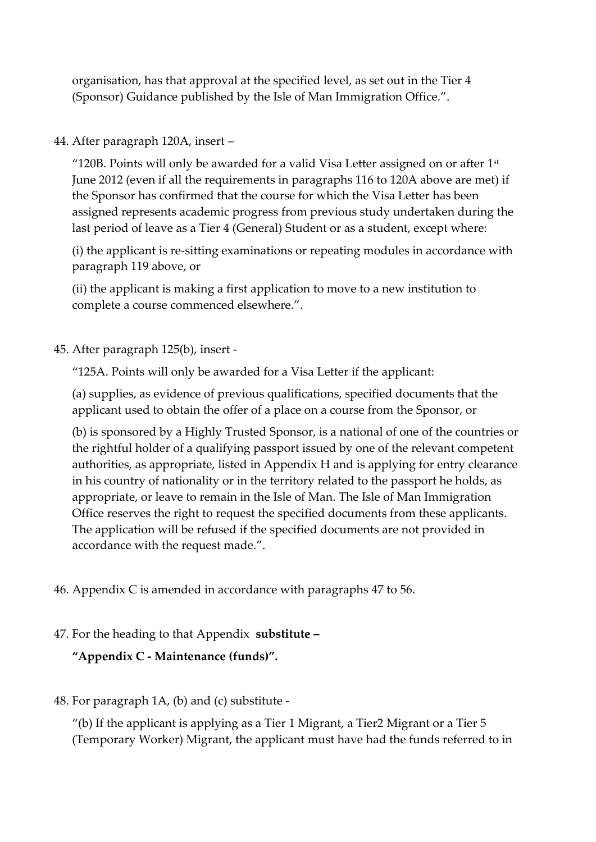organisation, has that approval at the specified level, as set out in the Tier 4 (Sponsor) Guidance published by the Isle of Man Immigration Office.".

## 44. After paragraph 120A, insert –

"120B. Points will only be awarded for a valid Visa Letter assigned on or after  $1<sup>st</sup>$ June 2012 (even if all the requirements in paragraphs 116 to 120A above are met) if the Sponsor has confirmed that the course for which the Visa Letter has been assigned represents academic progress from previous study undertaken during the last period of leave as a Tier 4 (General) Student or as a student, except where:

(i) the applicant is re-sitting examinations or repeating modules in accordance with paragraph 119 above, or

(ii) the applicant is making a first application to move to a new institution to complete a course commenced elsewhere.".

45. After paragraph 125(b), insert -

"125A. Points will only be awarded for a Visa Letter if the applicant:

(a) supplies, as evidence of previous qualifications, specified documents that the applicant used to obtain the offer of a place on a course from the Sponsor, or

(b) is sponsored by a Highly Trusted Sponsor, is a national of one of the countries or the rightful holder of a qualifying passport issued by one of the relevant competent authorities, as appropriate, listed in Appendix H and is applying for entry clearance in his country of nationality or in the territory related to the passport he holds, as appropriate, or leave to remain in the Isle of Man. The Isle of Man Immigration Office reserves the right to request the specified documents from these applicants. The application will be refused if the specified documents are not provided in accordance with the request made.".

46. Appendix C is amended in accordance with paragraphs 47 to 56.

## 47. For the heading to that Appendix **substitute –**

**"Appendix C - Maintenance (funds)".**

## 48. For paragraph 1A, (b) and (c) substitute -

"(b) If the applicant is applying as a Tier 1 Migrant, a Tier2 Migrant or a Tier  $5$ (Temporary Worker) Migrant, the applicant must have had the funds referred to in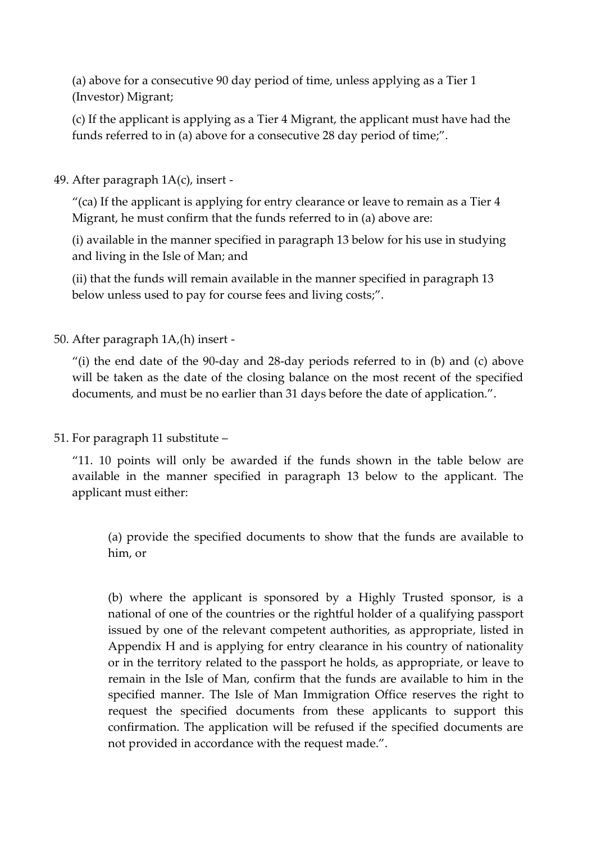(a) above for a consecutive 90 day period of time, unless applying as a Tier 1 (Investor) Migrant;

(c) If the applicant is applying as a Tier 4 Migrant, the applicant must have had the funds referred to in (a) above for a consecutive 28 day period of time;".

49. After paragraph 1A(c), insert -

"(ca) If the applicant is applying for entry clearance or leave to remain as a Tier 4 Migrant, he must confirm that the funds referred to in (a) above are:

(i) available in the manner specified in paragraph 13 below for his use in studying and living in the Isle of Man; and

(ii) that the funds will remain available in the manner specified in paragraph 13 below unless used to pay for course fees and living costs;".

50. After paragraph 1A,(h) insert -

"(i) the end date of the 90-day and 28-day periods referred to in (b) and (c) above will be taken as the date of the closing balance on the most recent of the specified documents, and must be no earlier than 31 days before the date of application.".

51. For paragraph 11 substitute –

"11. 10 points will only be awarded if the funds shown in the table below are available in the manner specified in paragraph 13 below to the applicant. The applicant must either:

(a) provide the specified documents to show that the funds are available to him, or

(b) where the applicant is sponsored by a Highly Trusted sponsor, is a national of one of the countries or the rightful holder of a qualifying passport issued by one of the relevant competent authorities, as appropriate, listed in Appendix H and is applying for entry clearance in his country of nationality or in the territory related to the passport he holds, as appropriate, or leave to remain in the Isle of Man, confirm that the funds are available to him in the specified manner. The Isle of Man Immigration Office reserves the right to request the specified documents from these applicants to support this confirmation. The application will be refused if the specified documents are not provided in accordance with the request made.".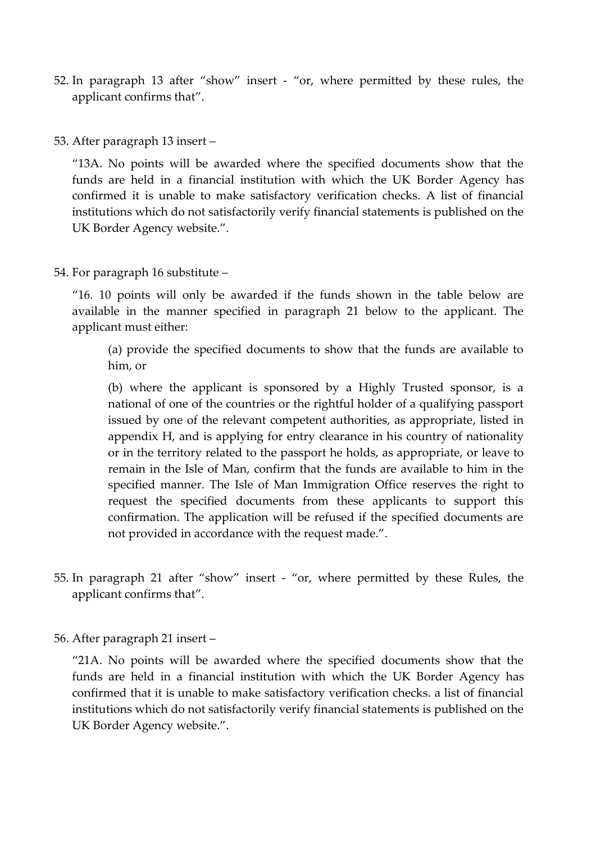- 52. In paragraph 13 after "show" insert "or, where permitted by these rules, the applicant confirms that".
- 53. After paragraph 13 insert –

"13A. No points will be awarded where the specified documents show that the funds are held in a financial institution with which the UK Border Agency has confirmed it is unable to make satisfactory verification checks. A list of financial institutions which do not satisfactorily verify financial statements is published on the UK Border Agency website.".

54. For paragraph 16 substitute –

"16. 10 points will only be awarded if the funds shown in the table below are available in the manner specified in paragraph 21 below to the applicant. The applicant must either:

(a) provide the specified documents to show that the funds are available to him, or

(b) where the applicant is sponsored by a Highly Trusted sponsor, is a national of one of the countries or the rightful holder of a qualifying passport issued by one of the relevant competent authorities, as appropriate, listed in appendix H, and is applying for entry clearance in his country of nationality or in the territory related to the passport he holds, as appropriate, or leave to remain in the Isle of Man, confirm that the funds are available to him in the specified manner. The Isle of Man Immigration Office reserves the right to request the specified documents from these applicants to support this confirmation. The application will be refused if the specified documents are not provided in accordance with the request made.".

- 55. In paragraph 21 after "show" insert "or, where permitted by these Rules, the applicant confirms that".
- 56. After paragraph 21 insert –

"21A. No points will be awarded where the specified documents show that the funds are held in a financial institution with which the UK Border Agency has confirmed that it is unable to make satisfactory verification checks. a list of financial institutions which do not satisfactorily verify financial statements is published on the UK Border Agency website.".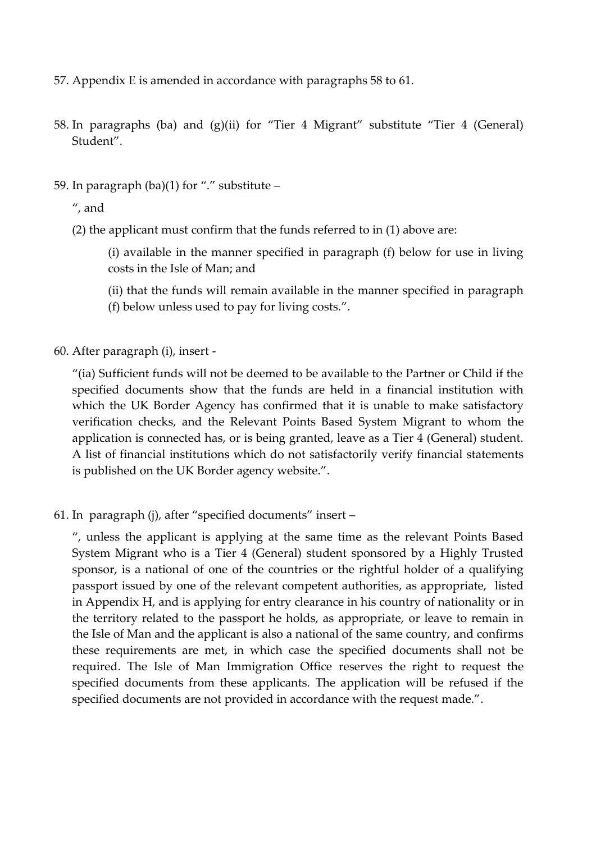- 57. Appendix E is amended in accordance with paragraphs 58 to 61.
- 58. In paragraphs (ba) and (g)(ii) for "Tier 4 Migrant" substitute "Tier 4 (General) Student".
- 59. In paragraph (ba)(1) for "." substitute –

", and

(2) the applicant must confirm that the funds referred to in (1) above are:

(i) available in the manner specified in paragraph (f) below for use in living costs in the Isle of Man; and

- (ii) that the funds will remain available in the manner specified in paragraph (f) below unless used to pay for living costs.".
- 60. After paragraph (i), insert -

"(ia) Sufficient funds will not be deemed to be available to the Partner or Child if the specified documents show that the funds are held in a financial institution with which the UK Border Agency has confirmed that it is unable to make satisfactory verification checks, and the Relevant Points Based System Migrant to whom the application is connected has, or is being granted, leave as a Tier 4 (General) student. A list of financial institutions which do not satisfactorily verify financial statements is published on the UK Border agency website.".

61. In paragraph (j), after "specified documents" insert –

", unless the applicant is applying at the same time as the relevant Points Based System Migrant who is a Tier 4 (General) student sponsored by a Highly Trusted sponsor, is a national of one of the countries or the rightful holder of a qualifying passport issued by one of the relevant competent authorities, as appropriate, listed in Appendix H, and is applying for entry clearance in his country of nationality or in the territory related to the passport he holds, as appropriate, or leave to remain in the Isle of Man and the applicant is also a national of the same country, and confirms these requirements are met, in which case the specified documents shall not be required. The Isle of Man Immigration Office reserves the right to request the specified documents from these applicants. The application will be refused if the specified documents are not provided in accordance with the request made.".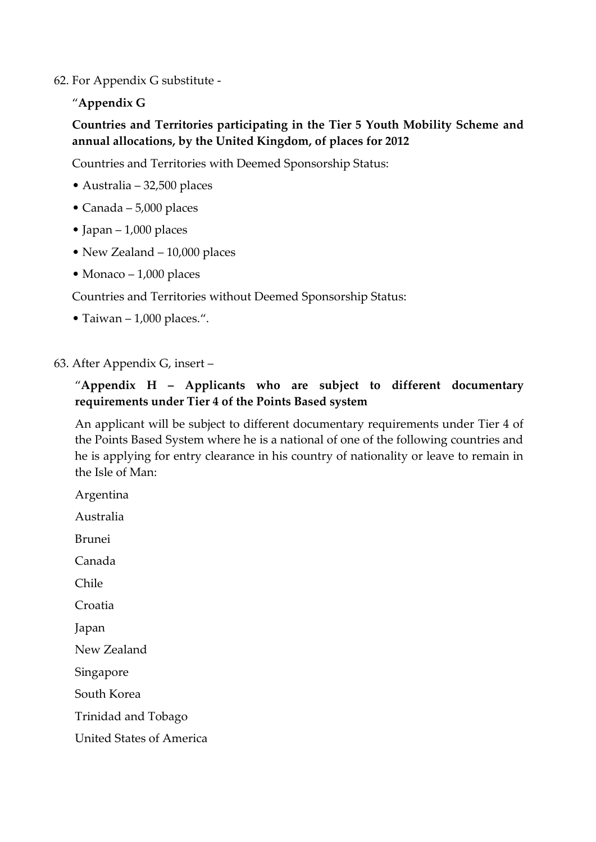62. For Appendix G substitute -

"**Appendix G**

# **Countries and Territories participating in the Tier 5 Youth Mobility Scheme and annual allocations, by the United Kingdom, of places for 2012**

Countries and Territories with Deemed Sponsorship Status:

- Australia 32,500 places
- Canada 5,000 places
- Japan 1,000 places
- New Zealand 10,000 places
- Monaco 1,000 places

Countries and Territories without Deemed Sponsorship Status:

• Taiwan – 1,000 places.".

## 63. After Appendix G, insert –

# "**Appendix H – Applicants who are subject to different documentary requirements under Tier 4 of the Points Based system**

An applicant will be subject to different documentary requirements under Tier 4 of the Points Based System where he is a national of one of the following countries and he is applying for entry clearance in his country of nationality or leave to remain in the Isle of Man:

| Argentina                       |
|---------------------------------|
| Australia                       |
| Brunei                          |
| Canada                          |
| Chile                           |
| Croatia                         |
| Japan                           |
| New Zealand                     |
| Singapore                       |
| South Korea                     |
| Trinidad and Tobago             |
| <b>United States of America</b> |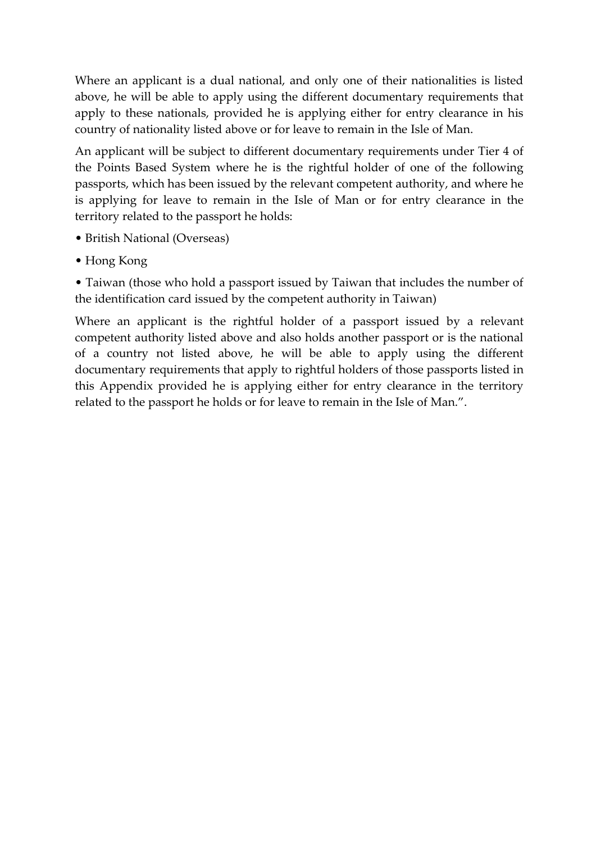Where an applicant is a dual national, and only one of their nationalities is listed above, he will be able to apply using the different documentary requirements that apply to these nationals, provided he is applying either for entry clearance in his country of nationality listed above or for leave to remain in the Isle of Man.

An applicant will be subject to different documentary requirements under Tier 4 of the Points Based System where he is the rightful holder of one of the following passports, which has been issued by the relevant competent authority, and where he is applying for leave to remain in the Isle of Man or for entry clearance in the territory related to the passport he holds:

- British National (Overseas)
- Hong Kong

• Taiwan (those who hold a passport issued by Taiwan that includes the number of the identification card issued by the competent authority in Taiwan)

Where an applicant is the rightful holder of a passport issued by a relevant competent authority listed above and also holds another passport or is the national of a country not listed above, he will be able to apply using the different documentary requirements that apply to rightful holders of those passports listed in this Appendix provided he is applying either for entry clearance in the territory related to the passport he holds or for leave to remain in the Isle of Man.".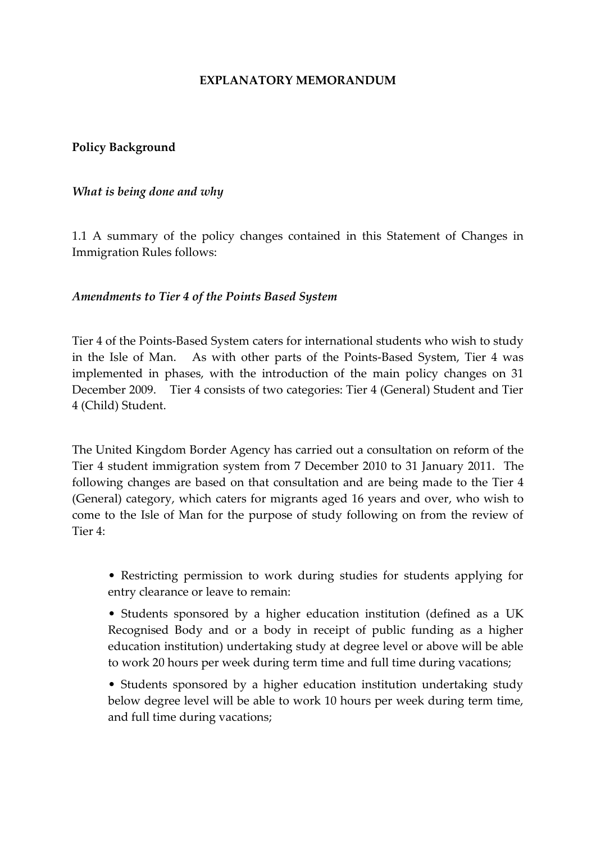#### **EXPLANATORY MEMORANDUM**

### **Policy Background**

### *What is being done and why*

1.1 A summary of the policy changes contained in this Statement of Changes in Immigration Rules follows:

### *Amendments to Tier 4 of the Points Based System*

Tier 4 of the Points-Based System caters for international students who wish to study in the Isle of Man. As with other parts of the Points-Based System, Tier 4 was implemented in phases, with the introduction of the main policy changes on 31 December 2009. Tier 4 consists of two categories: Tier 4 (General) Student and Tier 4 (Child) Student.

The United Kingdom Border Agency has carried out a consultation on reform of the Tier 4 student immigration system from 7 December 2010 to 31 January 2011. The following changes are based on that consultation and are being made to the Tier 4 (General) category, which caters for migrants aged 16 years and over, who wish to come to the Isle of Man for the purpose of study following on from the review of Tier 4:

• Restricting permission to work during studies for students applying for entry clearance or leave to remain:

• Students sponsored by a higher education institution (defined as a UK Recognised Body and or a body in receipt of public funding as a higher education institution) undertaking study at degree level or above will be able to work 20 hours per week during term time and full time during vacations;

• Students sponsored by a higher education institution undertaking study below degree level will be able to work 10 hours per week during term time, and full time during vacations;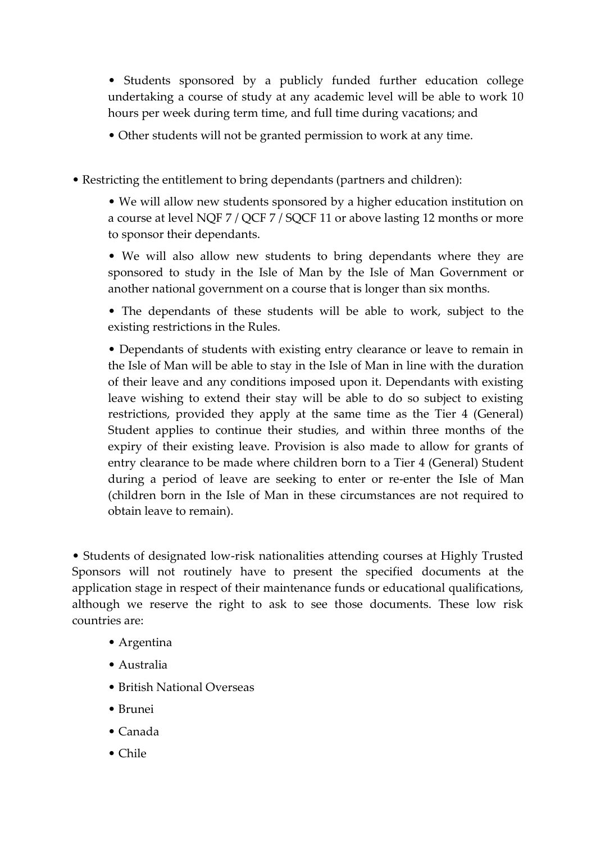• Students sponsored by a publicly funded further education college undertaking a course of study at any academic level will be able to work 10 hours per week during term time, and full time during vacations; and

• Other students will not be granted permission to work at any time.

• Restricting the entitlement to bring dependants (partners and children):

• We will allow new students sponsored by a higher education institution on a course at level NQF 7 / QCF 7 / SQCF 11 or above lasting 12 months or more to sponsor their dependants.

• We will also allow new students to bring dependants where they are sponsored to study in the Isle of Man by the Isle of Man Government or another national government on a course that is longer than six months.

• The dependants of these students will be able to work, subject to the existing restrictions in the Rules.

• Dependants of students with existing entry clearance or leave to remain in the Isle of Man will be able to stay in the Isle of Man in line with the duration of their leave and any conditions imposed upon it. Dependants with existing leave wishing to extend their stay will be able to do so subject to existing restrictions, provided they apply at the same time as the Tier 4 (General) Student applies to continue their studies, and within three months of the expiry of their existing leave. Provision is also made to allow for grants of entry clearance to be made where children born to a Tier 4 (General) Student during a period of leave are seeking to enter or re-enter the Isle of Man (children born in the Isle of Man in these circumstances are not required to obtain leave to remain).

• Students of designated low-risk nationalities attending courses at Highly Trusted Sponsors will not routinely have to present the specified documents at the application stage in respect of their maintenance funds or educational qualifications, although we reserve the right to ask to see those documents. These low risk countries are:

- Argentina
- Australia
- British National Overseas
- Brunei
- Canada
- Chile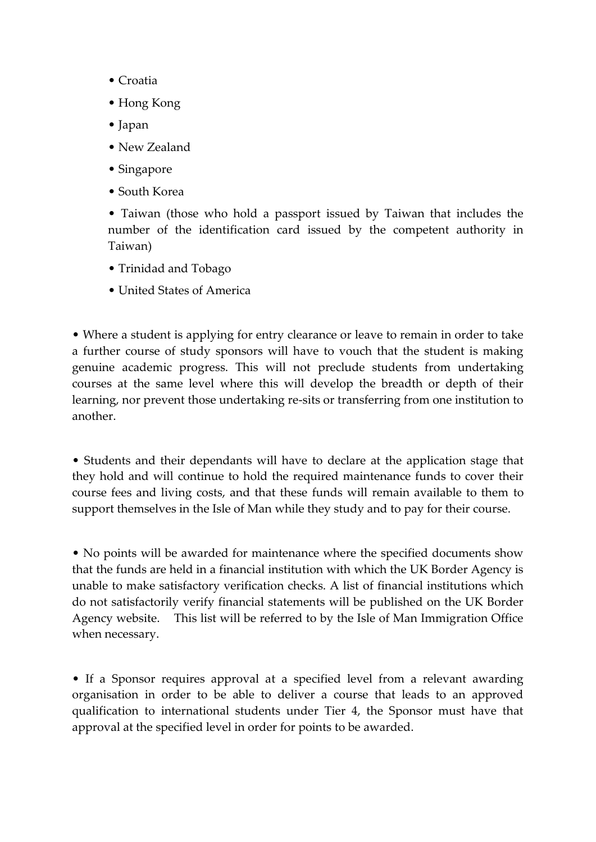- Croatia
- Hong Kong
- Japan
- New Zealand
- Singapore
- South Korea

• Taiwan (those who hold a passport issued by Taiwan that includes the number of the identification card issued by the competent authority in Taiwan)

- Trinidad and Tobago
- United States of America

• Where a student is applying for entry clearance or leave to remain in order to take a further course of study sponsors will have to vouch that the student is making genuine academic progress. This will not preclude students from undertaking courses at the same level where this will develop the breadth or depth of their learning, nor prevent those undertaking re-sits or transferring from one institution to another.

• Students and their dependants will have to declare at the application stage that they hold and will continue to hold the required maintenance funds to cover their course fees and living costs, and that these funds will remain available to them to support themselves in the Isle of Man while they study and to pay for their course.

• No points will be awarded for maintenance where the specified documents show that the funds are held in a financial institution with which the UK Border Agency is unable to make satisfactory verification checks. A list of financial institutions which do not satisfactorily verify financial statements will be published on the UK Border Agency website. This list will be referred to by the Isle of Man Immigration Office when necessary.

• If a Sponsor requires approval at a specified level from a relevant awarding organisation in order to be able to deliver a course that leads to an approved qualification to international students under Tier 4, the Sponsor must have that approval at the specified level in order for points to be awarded.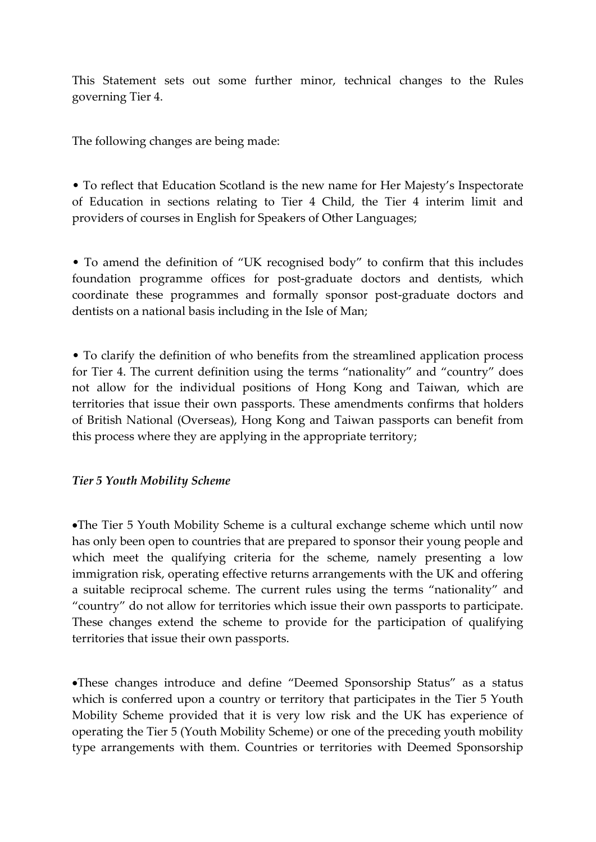This Statement sets out some further minor, technical changes to the Rules governing Tier 4.

The following changes are being made:

• To reflect that Education Scotland is the new name for Her Majesty's Inspectorate of Education in sections relating to Tier 4 Child, the Tier 4 interim limit and providers of courses in English for Speakers of Other Languages;

• To amend the definition of "UK recognised body" to confirm that this includes foundation programme offices for post-graduate doctors and dentists, which coordinate these programmes and formally sponsor post-graduate doctors and dentists on a national basis including in the Isle of Man;

• To clarify the definition of who benefits from the streamlined application process for Tier 4. The current definition using the terms "nationality" and "country" does not allow for the individual positions of Hong Kong and Taiwan, which are territories that issue their own passports. These amendments confirms that holders of British National (Overseas), Hong Kong and Taiwan passports can benefit from this process where they are applying in the appropriate territory;

### *Tier 5 Youth Mobility Scheme*

The Tier 5 Youth Mobility Scheme is a cultural exchange scheme which until now has only been open to countries that are prepared to sponsor their young people and which meet the qualifying criteria for the scheme, namely presenting a low immigration risk, operating effective returns arrangements with the UK and offering a suitable reciprocal scheme. The current rules using the terms "nationality" and "country" do not allow for territories which issue their own passports to participate. These changes extend the scheme to provide for the participation of qualifying territories that issue their own passports.

These changes introduce and define "Deemed Sponsorship Status" as a status which is conferred upon a country or territory that participates in the Tier 5 Youth Mobility Scheme provided that it is very low risk and the UK has experience of operating the Tier 5 (Youth Mobility Scheme) or one of the preceding youth mobility type arrangements with them. Countries or territories with Deemed Sponsorship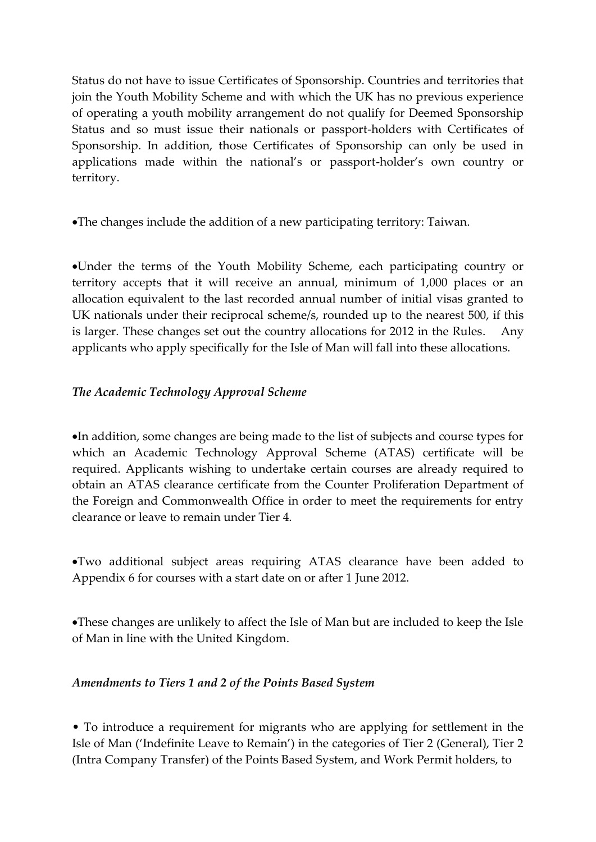Status do not have to issue Certificates of Sponsorship. Countries and territories that join the Youth Mobility Scheme and with which the UK has no previous experience of operating a youth mobility arrangement do not qualify for Deemed Sponsorship Status and so must issue their nationals or passport-holders with Certificates of Sponsorship. In addition, those Certificates of Sponsorship can only be used in applications made within the national's or passport-holder's own country or territory.

The changes include the addition of a new participating territory: Taiwan.

Under the terms of the Youth Mobility Scheme, each participating country or territory accepts that it will receive an annual, minimum of 1,000 places or an allocation equivalent to the last recorded annual number of initial visas granted to UK nationals under their reciprocal scheme/s, rounded up to the nearest 500, if this is larger. These changes set out the country allocations for 2012 in the Rules. Any applicants who apply specifically for the Isle of Man will fall into these allocations.

# *The Academic Technology Approval Scheme*

In addition, some changes are being made to the list of subjects and course types for which an Academic Technology Approval Scheme (ATAS) certificate will be required. Applicants wishing to undertake certain courses are already required to obtain an ATAS clearance certificate from the Counter Proliferation Department of the Foreign and Commonwealth Office in order to meet the requirements for entry clearance or leave to remain under Tier 4.

Two additional subject areas requiring ATAS clearance have been added to Appendix 6 for courses with a start date on or after 1 June 2012.

These changes are unlikely to affect the Isle of Man but are included to keep the Isle of Man in line with the United Kingdom.

## *Amendments to Tiers 1 and 2 of the Points Based System*

• To introduce a requirement for migrants who are applying for settlement in the Isle of Man ('Indefinite Leave to Remain') in the categories of Tier 2 (General), Tier 2 (Intra Company Transfer) of the Points Based System, and Work Permit holders, to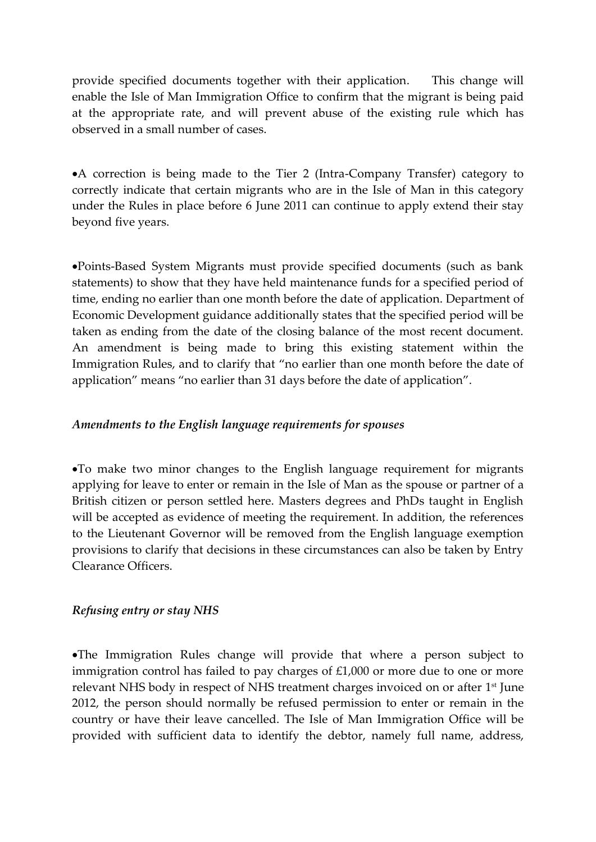provide specified documents together with their application. This change will enable the Isle of Man Immigration Office to confirm that the migrant is being paid at the appropriate rate, and will prevent abuse of the existing rule which has observed in a small number of cases.

A correction is being made to the Tier 2 (Intra-Company Transfer) category to correctly indicate that certain migrants who are in the Isle of Man in this category under the Rules in place before 6 June 2011 can continue to apply extend their stay beyond five years.

Points-Based System Migrants must provide specified documents (such as bank statements) to show that they have held maintenance funds for a specified period of time, ending no earlier than one month before the date of application. Department of Economic Development guidance additionally states that the specified period will be taken as ending from the date of the closing balance of the most recent document. An amendment is being made to bring this existing statement within the Immigration Rules, and to clarify that "no earlier than one month before the date of application" means "no earlier than 31 days before the date of application".

### *Amendments to the English language requirements for spouses*

To make two minor changes to the English language requirement for migrants applying for leave to enter or remain in the Isle of Man as the spouse or partner of a British citizen or person settled here. Masters degrees and PhDs taught in English will be accepted as evidence of meeting the requirement. In addition, the references to the Lieutenant Governor will be removed from the English language exemption provisions to clarify that decisions in these circumstances can also be taken by Entry Clearance Officers.

## *Refusing entry or stay NHS*

The Immigration Rules change will provide that where a person subject to immigration control has failed to pay charges of £1,000 or more due to one or more relevant NHS body in respect of NHS treatment charges invoiced on or after 1 st June 2012, the person should normally be refused permission to enter or remain in the country or have their leave cancelled. The Isle of Man Immigration Office will be provided with sufficient data to identify the debtor, namely full name, address,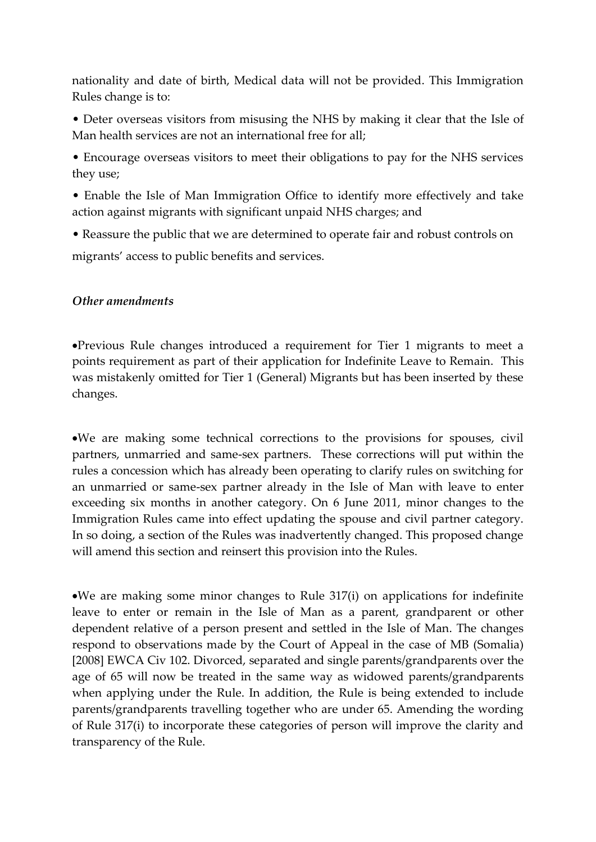nationality and date of birth, Medical data will not be provided. This Immigration Rules change is to:

• Deter overseas visitors from misusing the NHS by making it clear that the Isle of Man health services are not an international free for all;

• Encourage overseas visitors to meet their obligations to pay for the NHS services they use;

• Enable the Isle of Man Immigration Office to identify more effectively and take action against migrants with significant unpaid NHS charges; and

• Reassure the public that we are determined to operate fair and robust controls on migrants' access to public benefits and services.

### *Other amendments*

Previous Rule changes introduced a requirement for Tier 1 migrants to meet a points requirement as part of their application for Indefinite Leave to Remain. This was mistakenly omitted for Tier 1 (General) Migrants but has been inserted by these changes.

We are making some technical corrections to the provisions for spouses, civil partners, unmarried and same-sex partners. These corrections will put within the rules a concession which has already been operating to clarify rules on switching for an unmarried or same-sex partner already in the Isle of Man with leave to enter exceeding six months in another category. On 6 June 2011, minor changes to the Immigration Rules came into effect updating the spouse and civil partner category. In so doing, a section of the Rules was inadvertently changed. This proposed change will amend this section and reinsert this provision into the Rules.

We are making some minor changes to Rule 317(i) on applications for indefinite leave to enter or remain in the Isle of Man as a parent, grandparent or other dependent relative of a person present and settled in the Isle of Man. The changes respond to observations made by the Court of Appeal in the case of MB (Somalia) [2008] EWCA Civ 102. Divorced, separated and single parents/grandparents over the age of 65 will now be treated in the same way as widowed parents/grandparents when applying under the Rule. In addition, the Rule is being extended to include parents/grandparents travelling together who are under 65. Amending the wording of Rule 317(i) to incorporate these categories of person will improve the clarity and transparency of the Rule.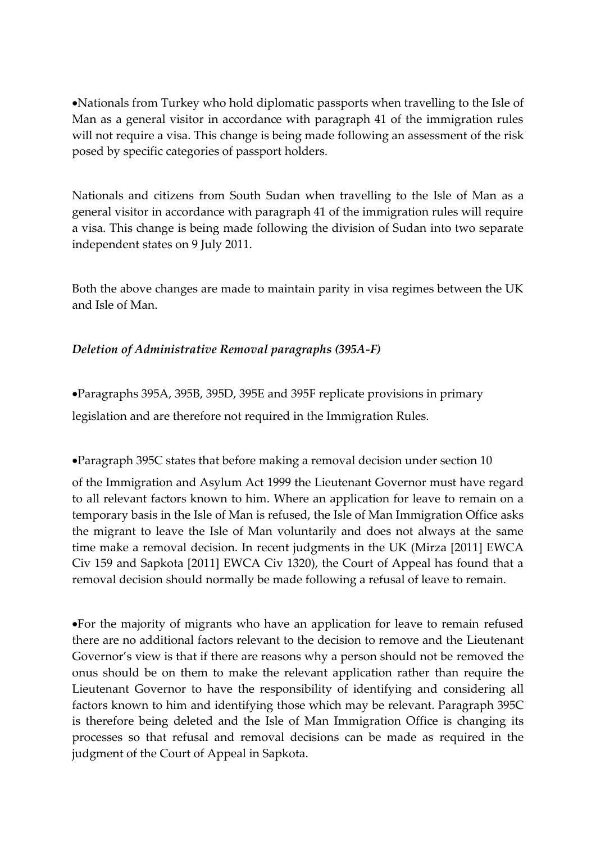Nationals from Turkey who hold diplomatic passports when travelling to the Isle of Man as a general visitor in accordance with paragraph 41 of the immigration rules will not require a visa. This change is being made following an assessment of the risk posed by specific categories of passport holders.

Nationals and citizens from South Sudan when travelling to the Isle of Man as a general visitor in accordance with paragraph 41 of the immigration rules will require a visa. This change is being made following the division of Sudan into two separate independent states on 9 July 2011.

Both the above changes are made to maintain parity in visa regimes between the UK and Isle of Man.

# *Deletion of Administrative Removal paragraphs (395A-F)*

Paragraphs 395A, 395B, 395D, 395E and 395F replicate provisions in primary legislation and are therefore not required in the Immigration Rules.

Paragraph 395C states that before making a removal decision under section 10

of the Immigration and Asylum Act 1999 the Lieutenant Governor must have regard to all relevant factors known to him. Where an application for leave to remain on a temporary basis in the Isle of Man is refused, the Isle of Man Immigration Office asks the migrant to leave the Isle of Man voluntarily and does not always at the same time make a removal decision. In recent judgments in the UK (Mirza [2011] EWCA Civ 159 and Sapkota [2011] EWCA Civ 1320), the Court of Appeal has found that a removal decision should normally be made following a refusal of leave to remain.

For the majority of migrants who have an application for leave to remain refused there are no additional factors relevant to the decision to remove and the Lieutenant Governor's view is that if there are reasons why a person should not be removed the onus should be on them to make the relevant application rather than require the Lieutenant Governor to have the responsibility of identifying and considering all factors known to him and identifying those which may be relevant. Paragraph 395C is therefore being deleted and the Isle of Man Immigration Office is changing its processes so that refusal and removal decisions can be made as required in the judgment of the Court of Appeal in Sapkota.